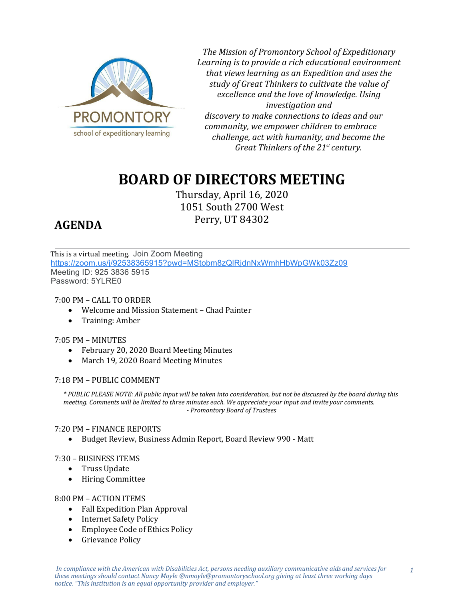

*The Mission of Promontory School of Expeditionary Learning is to provide a rich educational environment that views learning as an Expedition and uses the study of Great Thinkers to cultivate the value of excellence and the love of knowledge. Using investigation and discovery to make connections to ideas and our community, we empower children to embrace challenge, act with humanity, and become the Great Thinkers of the 21st century.*

# **BOARD OF DIRECTORS MEETING**

Thursday, April 16, 2020 1051 South 2700 West Perry, UT 84302

## **AGENDA**

This is a virtual meeting. Join Zoom Meeting [https://zoom.us/j/92538365915?pwd=MStobm8zQlRjdnNxWmhHbWpGWk03Zz09](https://www.google.com/url?q=https://zoom.us/j/92538365915?pwd%3DMStobm8zQlRjdnNxWmhHbWpGWk03Zz09&sa=D&ust=1587238042875000&usg=AOvVaw2cAzTrq2_SJwiQ2S0XmeOx) Meeting ID: 925 3836 5915 Password: 5YLRE0

### 7:00 PM – CALL TO ORDER

- Welcome and Mission Statement Chad Painter
- Training: Amber

#### 7:05 PM – MINUTES

- February 20, 2020 Board Meeting Minutes
- March 19, 2020 Board Meeting Minutes

#### 7:18 PM – PUBLIC COMMENT

*\* PUBLIC PLEASE NOTE: All public input will be taken into consideration, but not be discussed by the board during this meeting. Comments will be limited to three minutes each. We appreciate your input and invite your comments. - Promontory Board of Trustees*

#### 7:20 PM – FINANCE REPORTS

• Budget Review, Business Admin Report, Board Review 990 - Matt

#### 7:30 – BUSINESS ITEMS

- Truss Update
- Hiring Committee

#### 8:00 PM – ACTION ITEMS

- Fall Expedition Plan Approval
- Internet Safety Policy
- Employee Code of Ethics Policy
- Grievance Policy